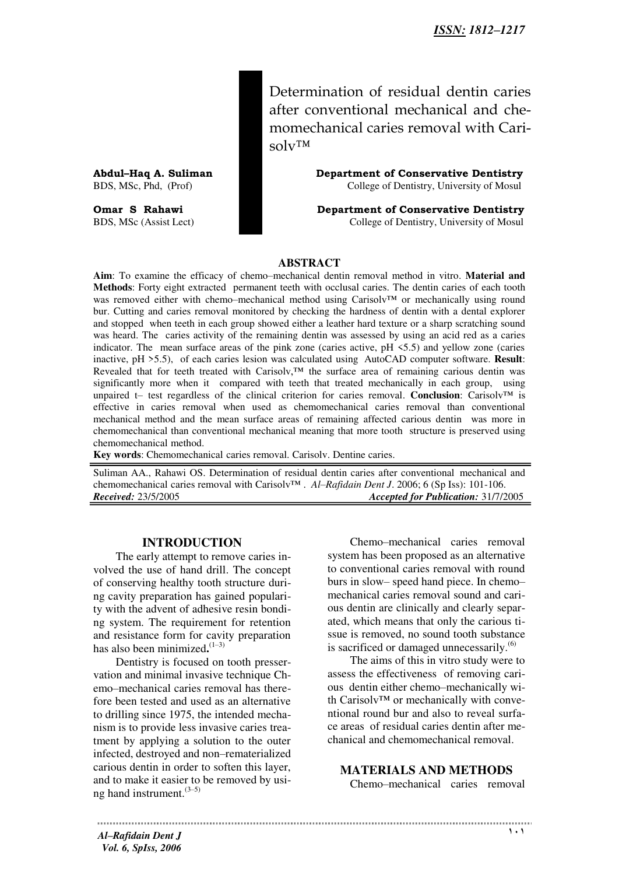Determination of residual dentin caries after conventional mechanical and chemomechanical caries removal with Carisolv™

**Abdul–Haq A. Suliman Department of Conservative Dentistry**  BDS, MSc, Phd, (Prof) College of Dentistry, University of Mosul

**Omar S Rahawi Department of Conservative Dentistry**<br>BDS, MSc (Assist Lect) **Department of Conservative Dentistry College of Dentistry**, University of Mosul College of Dentistry, University of Mosul

#### **ABSTRACT**

**Aim**: To examine the efficacy of chemo–mechanical dentin removal method in vitro. **Material and Methods**: Forty eight extracted permanent teeth with occlusal caries. The dentin caries of each tooth was removed either with chemo–mechanical method using Carisolv™ or mechanically using round bur. Cutting and caries removal monitored by checking the hardness of dentin with a dental explorer and stopped when teeth in each group showed either a leather hard texture or a sharp scratching sound was heard. The caries activity of the remaining dentin was assessed by using an acid red as a caries indicator. The mean surface areas of the pink zone (caries active, pH <5.5) and yellow zone (caries inactive, pH >5.5), of each caries lesion was calculated using AutoCAD computer software. **Result**: Revealed that for teeth treated with Carisolv,™ the surface area of remaining carious dentin was significantly more when it compared with teeth that treated mechanically in each group, using unpaired t– test regardless of the clinical criterion for caries removal. **Conclusion**: Carisolv™ is effective in caries removal when used as chemomechanical caries removal than conventional mechanical method and the mean surface areas of remaining affected carious dentin was more in chemomechanical than conventional mechanical meaning that more tooth structure is preserved using chemomechanical method.

**Key words**: Chemomechanical caries removal. Carisolv. Dentine caries.

Suliman AA., Rahawi OS. Determination of residual dentin caries after conventional mechanical and chemomechanical caries removal with Carisolv™ . *Al–Rafidain Dent J*. 2006; 6 (Sp Iss): 101-106.<br>*Received:* 23/5/2005 *Accepted for Publication:* 31/7/2 *Received:* 23/5/2005 *Accepted for Publication:* 31/7/2005

#### **INTRODUCTION**

The early attempt to remove caries involved the use of hand drill. The concept of conserving healthy tooth structure during cavity preparation has gained popularity with the advent of adhesive resin bonding system. The requirement for retention and resistance form for cavity preparation has also been minimized**.** (1–3)

Dentistry is focused on tooth presservation and minimal invasive technique Chemo–mechanical caries removal has therefore been tested and used as an alternative to drilling since 1975, the intended mechanism is to provide less invasive caries treatment by applying a solution to the outer infected, destroyed and non–rematerialized carious dentin in order to soften this layer, and to make it easier to be removed by using hand instrument.(3–5)

Chemo–mechanical caries removal system has been proposed as an alternative to conventional caries removal with round burs in slow– speed hand piece. In chemo– mechanical caries removal sound and carious dentin are clinically and clearly separated, which means that only the carious tissue is removed, no sound tooth substance is sacrificed or damaged unnecessarily. $(6)$ 

The aims of this in vitro study were to assess the effectiveness of removing carious dentin either chemo–mechanically with Carisolv™ or mechanically with conventional round bur and also to reveal surface areas of residual caries dentin after mechanical and chemomechanical removal.

**MATERIALS AND METHODS** 

Chemo–mechanical caries removal

*Al–Rafidain Dent J Vol. 6, SpIss, 2006*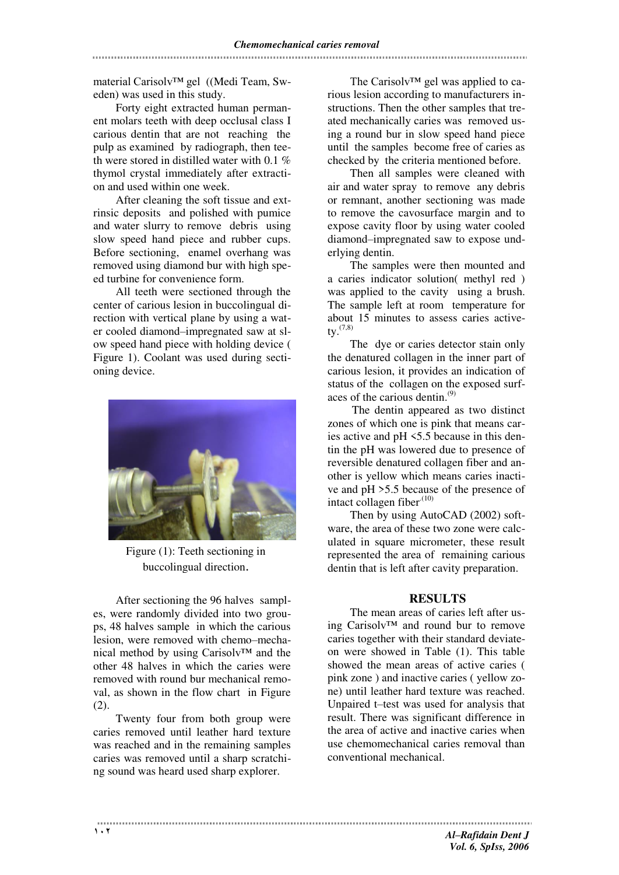material Carisolv™ gel ((Medi Team, Sweden) was used in this study.

Forty eight extracted human permanent molars teeth with deep occlusal class I carious dentin that are not reaching the pulp as examined by radiograph, then teeth were stored in distilled water with 0.1 % thymol crystal immediately after extraction and used within one week.

After cleaning the soft tissue and extrinsic deposits and polished with pumice and water slurry to remove debris using slow speed hand piece and rubber cups. Before sectioning, enamel overhang was removed using diamond bur with high speed turbine for convenience form.

All teeth were sectioned through the center of carious lesion in buccolingual direction with vertical plane by using a water cooled diamond–impregnated saw at slow speed hand piece with holding device ( Figure 1). Coolant was used during sectioning device.



Figure (1): Teeth sectioning in buccolingual direction.

After sectioning the 96 halves samples, were randomly divided into two groups, 48 halves sample in which the carious lesion, were removed with chemo–mechanical method by using Carisolv™ and the other 48 halves in which the caries were removed with round bur mechanical removal, as shown in the flow chart in Figure (2).

Twenty four from both group were caries removed until leather hard texture was reached and in the remaining samples caries was removed until a sharp scratching sound was heard used sharp explorer.

The Carisolv™ gel was applied to carious lesion according to manufacturers instructions. Then the other samples that treated mechanically caries was removed using a round bur in slow speed hand piece until the samples become free of caries as checked by the criteria mentioned before.

Then all samples were cleaned with air and water spray to remove any debris or remnant, another sectioning was made to remove the cavosurface margin and to expose cavity floor by using water cooled diamond–impregnated saw to expose underlying dentin.

The samples were then mounted and a caries indicator solution( methyl red ) was applied to the cavity using a brush. The sample left at room temperature for about 15 minutes to assess caries active $tv.$ <sup> $(7,8)$ </sup>

The dye or caries detector stain only the denatured collagen in the inner part of carious lesion, it provides an indication of status of the collagen on the exposed surfaces of the carious dentin. $(9)$ 

The dentin appeared as two distinct zones of which one is pink that means caries active and pH <5.5 because in this dentin the pH was lowered due to presence of reversible denatured collagen fiber and another is yellow which means caries inactive and pH >5.5 because of the presence of intact collagen fiber $(10)$ 

Then by using AutoCAD (2002) software, the area of these two zone were calculated in square micrometer, these result represented the area of remaining carious dentin that is left after cavity preparation.

# **RESULTS**

The mean areas of caries left after using Carisolv™ and round bur to remove caries together with their standard deviateon were showed in Table (1). This table showed the mean areas of active caries ( pink zone ) and inactive caries ( yellow zone) until leather hard texture was reached. Unpaired t–test was used for analysis that result. There was significant difference in the area of active and inactive caries when use chemomechanical caries removal than conventional mechanical.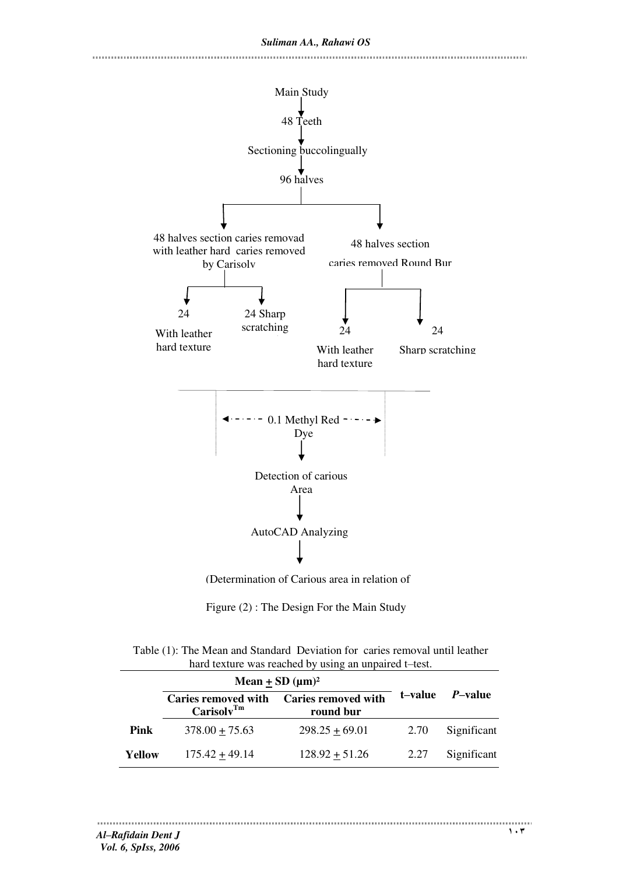

Figure (2) : The Design For the Main Study

| Table (1): The Mean and Standard Deviation for caries removal until leather |  |  |  |  |  |
|-----------------------------------------------------------------------------|--|--|--|--|--|
| hard texture was reached by using an unpaired t-test.                       |  |  |  |  |  |

|        | Mean $\pm$ SD ( $\mu$ m) <sup>2</sup>                |                                         |         |                 |
|--------|------------------------------------------------------|-----------------------------------------|---------|-----------------|
|        | <b>Caries removed with</b><br>Carisolv <sup>Tm</sup> | <b>Caries removed with</b><br>round bur | t–value | <i>P</i> –value |
| Pink   | $378.00 + 75.63$                                     | $298.25 + 69.01$                        | 2.70    | Significant     |
| Yellow | $175.42 + 49.14$                                     | $128.92 + 51.26$                        | 2.27    | Significant     |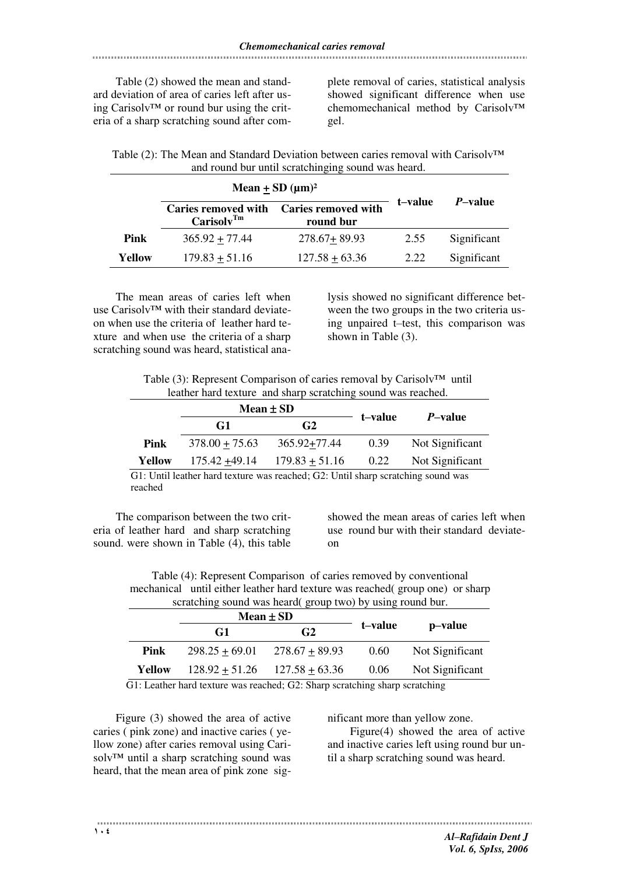Table (2) showed the mean and standard deviation of area of caries left after using Carisolv™ or round bur using the criteria of a sharp scratching sound after com-

plete removal of caries, statistical analysis showed significant difference when use chemomechanical method by Carisolv™ gel.

| Table (2): The Mean and Standard Deviation between caries removal with Carisoly <sup>TM</sup> |
|-----------------------------------------------------------------------------------------------|
| and round bur until scratchinging sound was heard.                                            |

|        | Mean + SD $(\mu m)^2$                                |                                         |         |                 |
|--------|------------------------------------------------------|-----------------------------------------|---------|-----------------|
|        | <b>Caries removed with</b><br>Carisolv <sup>Tm</sup> | <b>Caries removed with</b><br>round bur | t–value | <i>P</i> -value |
| Pink   | $365.92 + 77.44$                                     | $278.67 + 89.93$                        | 2.55    | Significant     |
| Yellow | $179.83 + 51.16$                                     | $127.58 + 63.36$                        | 2.22    | Significant     |

The mean areas of caries left when use Carisolv™ with their standard deviateon when use the criteria of leather hard texture and when use the criteria of a sharp scratching sound was heard, statistical analysis showed no significant difference between the two groups in the two criteria using unpaired t–test, this comparison was shown in Table (3).

| Table (3): Represent Comparison of caries removal by Carisolv <sup>TM</sup> until |  |  |
|-----------------------------------------------------------------------------------|--|--|
| leather hard texture and sharp scratching sound was reached.                      |  |  |

|        | Mean $\pm$ SD    |                  |         |                 |  |
|--------|------------------|------------------|---------|-----------------|--|
|        | G1               | G <sub>2</sub>   | t–value | <i>P</i> -value |  |
| Pink   | $378.00 + 75.63$ | 365.92+77.44     | 0.39    | Not Significant |  |
| Yellow | $175.42 + 49.14$ | $179.83 + 51.16$ | 0.22    | Not Significant |  |
|        |                  |                  |         |                 |  |

G1: Until leather hard texture was reached; G2: Until sharp scratching sound was reached

The comparison between the two criteria of leather hard and sharp scratching sound. were shown in Table (4), this table showed the mean areas of caries left when use round bur with their standard deviateon

Table (4): Represent Comparison of caries removed by conventional mechanical until either leather hard texture was reached( group one) or sharp scratching sound was heard( group two) by using round bur

| t–value | p-value         |
|---------|-----------------|
| 0.60    | Not Significant |
| 0.06    | Not Significant |
|         |                 |

G1: Leather hard texture was reached; G2: Sharp scratching sharp scratching

Figure (3) showed the area of active caries ( pink zone) and inactive caries ( yellow zone) after caries removal using Carisolv™ until a sharp scratching sound was heard, that the mean area of pink zone significant more than yellow zone.

Figure(4) showed the area of active and inactive caries left using round bur until a sharp scratching sound was heard.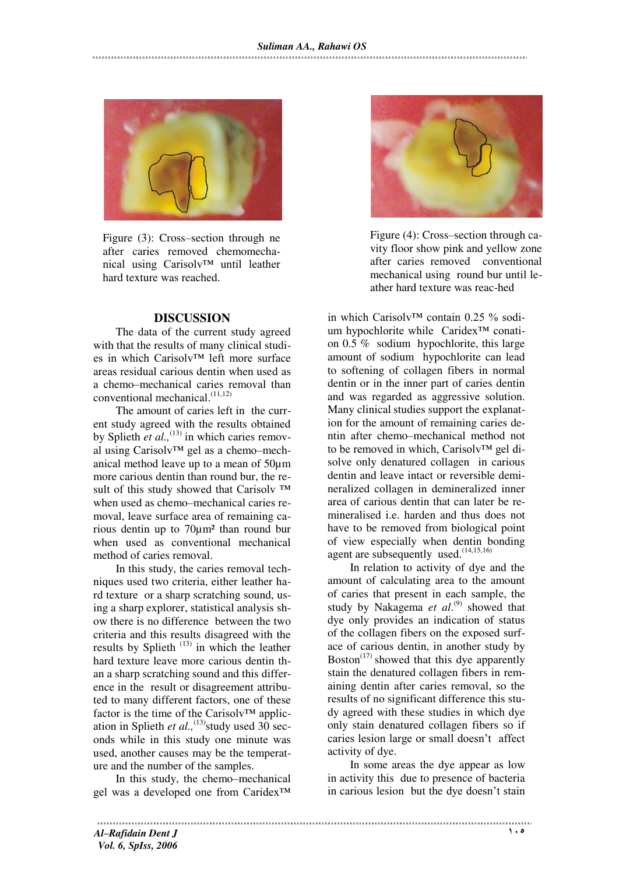

Figure (3): Cross–section through ne after caries removed chemomechanical using Carisolv™ until leather hard texture was reached.

#### **DISCUSSION**

The data of the current study agreed with that the results of many clinical studies in which Carisolv™ left more surface areas residual carious dentin when used as a chemo–mechanical caries removal than conventional mechanical.(11,12)

The amount of caries left in the current study agreed with the results obtained by Splieth *et al.*<sup>(13)</sup> in which caries removal using Carisolv™ gel as a chemo–mechanical method leave up to a mean of 50µm more carious dentin than round bur, the result of this study showed that Carisoly ™ when used as chemo–mechanical caries removal, leave surface area of remaining carious dentin up to 70µm² than round bur when used as conventional mechanical method of caries removal.

In this study, the caries removal techniques used two criteria, either leather hard texture or a sharp scratching sound, using a sharp explorer, statistical analysis show there is no difference between the two criteria and this results disagreed with the results by Splieth  $(13)$  in which the leather hard texture leave more carious dentin than a sharp scratching sound and this difference in the result or disagreement attributed to many different factors, one of these factor is the time of the Carisolv™ application in Splieth *et al.*,<sup>(13)</sup>study used  $30$  seconds while in this study one minute was used, another causes may be the temperature and the number of the samples.

In this study, the chemo–mechanical gel was a developed one from Caridex™



Figure (4): Cross–section through cavity floor show pink and yellow zone after caries removed conventional mechanical using round bur until leather hard texture was reac-hed

in which Carisolv™ contain 0.25 % sodium hypochlorite while Caridex™ conation 0.5 % sodium hypochlorite, this large amount of sodium hypochlorite can lead to softening of collagen fibers in normal dentin or in the inner part of caries dentin and was regarded as aggressive solution. Many clinical studies support the explanation for the amount of remaining caries dentin after chemo–mechanical method not to be removed in which, Carisolv™ gel disolve only denatured collagen in carious dentin and leave intact or reversible demineralized collagen in demineralized inner area of carious dentin that can later be remineralised i.e. harden and thus does not have to be removed from biological point of view especially when dentin bonding agent are subsequently used. $(14,15,16)$ 

In relation to activity of dye and the amount of calculating area to the amount of caries that present in each sample, the study by Nakagema et al.<sup>(9)</sup> showed that dye only provides an indication of status of the collagen fibers on the exposed surface of carious dentin, in another study by Boston<sup> $(17)$ </sup> showed that this dye apparently stain the denatured collagen fibers in remaining dentin after caries removal, so the results of no significant difference this study agreed with these studies in which dye only stain denatured collagen fibers so if caries lesion large or small doesn't affect activity of dye.

In some areas the dye appear as low in activity this due to presence of bacteria in carious lesion but the dye doesn't stain